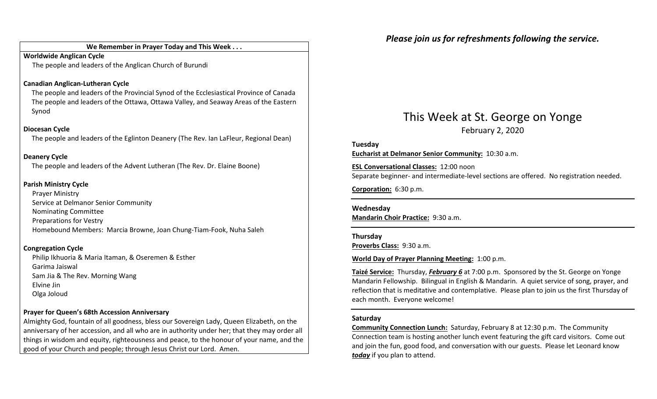### We Remember in Prayer Today and This Week . . .

Worldwide Anglican CycleThe people and leaders of the Anglican Church of Burundi

### Canadian Anglican-Lutheran Cycle

The people and leaders of the Provincial Synod of the Ecclesiastical Province of Canada The people and leaders of the Ottawa, Ottawa Valley, and Seaway Areas of the Eastern Synod

### Diocesan Cycle

The people and leaders of the Eglinton Deanery (The Rev. Ian LaFleur, Regional Dean)

### Deanery Cycle

The people and leaders of the Advent Lutheran (The Rev. Dr. Elaine Boone)

### Parish Ministry Cycle

Prayer Ministry Service at Delmanor Senior Community Nominating Committee Preparations for Vestry Homebound Members: Marcia Browne, Joan Chung-Tiam-Fook, Nuha Saleh

### Congregation Cycle

Philip Ikhuoria & Maria Itaman, & Oseremen & EstherGarima Jaiswal Sam Jia & The Rev. Morning Wang Elvine Jin Olga Joloud

### Prayer for Queen's 68th Accession Anniversary

Almighty God, fountain of all goodness, bless our Sovereign Lady, Queen Elizabeth, on the anniversary of her accession, and all who are in authority under her; that they may order all things in wisdom and equity, righteousness and peace, to the honour of your name, and the good of your Church and people; through Jesus Christ our Lord. Amen.

### Please join us for refreshments following the service.

### This Week at St. George on Yonge February 2, 2020

Tuesday Eucharist at Delmanor Senior Community: 10:30 a.m.

ESL Conversational Classes: 12:00 noon Separate beginner- and intermediate-level sections are offered. No registration needed.

Corporation: 6:30 p.m.

Wednesday Mandarin Choir Practice: 9:30 a.m.

Thursday Proverbs Class: 9:30 a.m.

### World Day of Prayer Planning Meeting: 1:00 p.m.

Taizé Service: Thursday, February 6 at 7:00 p.m. Sponsored by the St. George on Yonge Mandarin Fellowship. Bilingual in English & Mandarin. A quiet service of song, prayer, and reflection that is meditative and contemplative. Please plan to join us the first Thursday of each month. Everyone welcome!

### Saturday

Community Connection Lunch: Saturday, February 8 at 12:30 p.m. The Community Connection team is hosting another lunch event featuring the gift card visitors. Come out and join the fun, good food, and conversation with our guests. Please let Leonard know today if you plan to attend.